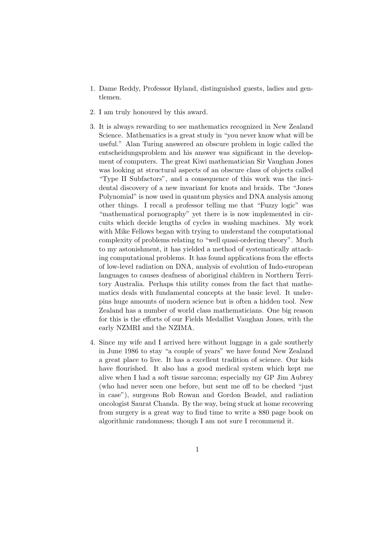- 1. Dame Reddy, Professor Hyland, distinguished guests, ladies and gentlemen.
- 2. I am truly honoured by this award.
- 3. It is always rewarding to see mathematics recognized in New Zealand Science. Mathematics is a great study in "you never know what will be useful." Alan Turing answered an obscure problem in logic called the entscheidungsproblem and his answer was significant in the development of computers. The great Kiwi mathematician Sir Vaughan Jones was looking at structural aspects of an obscure class of objects called "Type II Subfactors", and a consequence of this work was the incidental discovery of a new invariant for knots and braids. The "Jones Polynomial" is now used in quantum physics and DNA analysis among other things. I recall a professor telling me that "Fuzzy logic" was "mathematical pornography" yet there is is now implemented in circuits which decide lengths of cycles in washing machines. My work with Mike Fellows began with trying to understand the computational complexity of problems relating to "well quasi-ordering theory". Much to my astonishment, it has yielded a method of systematically attacking computational problems. It has found applications from the effects of low-level radiation on DNA, analysis of evolution of Indo-european languages to causes deafness of aboriginal children in Northern Territory Australia. Perhaps this utility comes from the fact that mathematics deals with fundamental concepts at the basic level. It underpins huge amounts of modern science but is often a hidden tool. New Zealand has a number of world class mathematicians. One big reason for this is the efforts of our Fields Medallist Vaughan Jones, with the early NZMRI and the NZIMA.
- 4. Since my wife and I arrived here without luggage in a gale southerly in June 1986 to stay "a couple of years" we have found New Zealand a great place to live. It has a excellent tradition of science. Our kids have flourished. It also has a good medical system which kept me alive when I had a soft tissue sarcoma; especially my GP Jim Aubrey (who had never seen one before, but sent me off to be checked "just in case"), surgeons Rob Rowan and Gordon Beadel, and radiation oncologist Saurat Chanda. By the way, being stuck at home recovering from surgery is a great way to find time to write a 880 page book on algorithmic randomness; though I am not sure I recommend it.